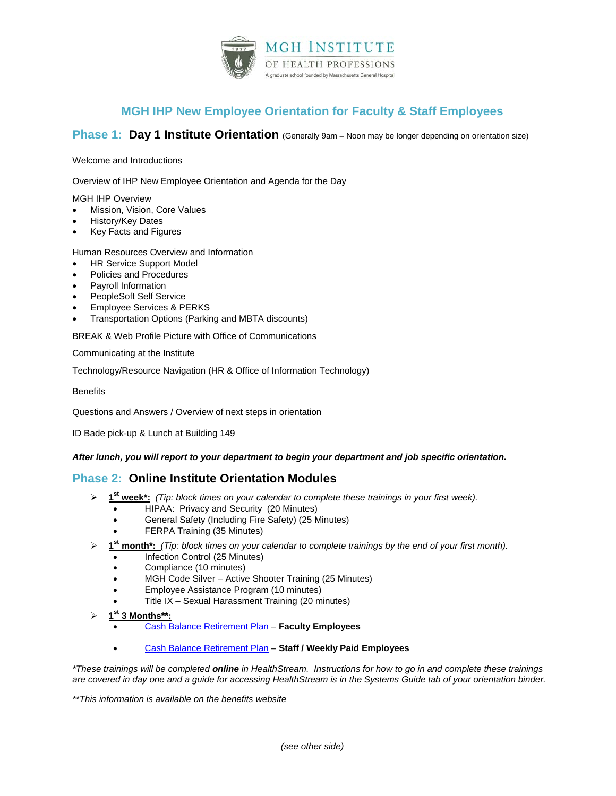

# **MGH IHP New Employee Orientation for Faculty & Staff Employees**

## **Phase 1: Day 1 Institute Orientation** (Generally 9am – Noon may be longer depending on orientation size)

#### Welcome and Introductions

Overview of IHP New Employee Orientation and Agenda for the Day

MGH IHP Overview

- Mission, Vision, Core Values
- History/Key Dates
- Key Facts and Figures

Human Resources Overview and Information

- HR Service Support Model
- Policies and Procedures
- Payroll Information
- PeopleSoft Self Service
- Employee Services & PERKS
- Transportation Options (Parking and MBTA discounts)

BREAK & Web Profile Picture with Office of Communications

Communicating at the Institute

Technology/Resource Navigation (HR & Office of Information Technology)

**Benefits** 

Questions and Answers / Overview of next steps in orientation

ID Bade pick-up & Lunch at Building 149

#### *After lunch, you will report to your department to begin your department and job specific orientation.*

## **Phase 2: Online Institute Orientation Modules**

- **1st week\*:** *(Tip: block times on your calendar to complete these trainings in your first week).*
	- HIPAA: Privacy and Security (20 Minutes)
	- General Safety (Including Fire Safety) (25 Minutes)
	- FERPA Training (35 Minutes)
- **1st month\*:** *(Tip: block times on your calendar to complete trainings by the end of your first month).*
	- Infection Control (25 Minutes)
	- Compliance (10 minutes)
	- MGH Code Silver Active Shooter Training (25 Minutes)
	- Employee Assistance Program (10 minutes)
	- Title IX Sexual Harassment Training (20 minutes)
- **1st 3 Months\*\*:**
	- [Cash Balance Retirement Plan](http://hr.partners.org/mgpo/information-for-professional-staff-hired-or-rehired-in-2016-or-later.aspx) **Faculty Employees**
	- [Cash Balance Retirement Plan](http://hr.partners.org/mgh/information-for-mgh-employees-hired-in-2016-or-later.aspx) **Staff / Weekly Paid Employees**

*\*These trainings will be completed online in HealthStream. Instructions for how to go in and complete these trainings are covered in day one and a guide for accessing HealthStream is in the Systems Guide tab of your orientation binder.*

*\*\*This information is available on the benefits website*